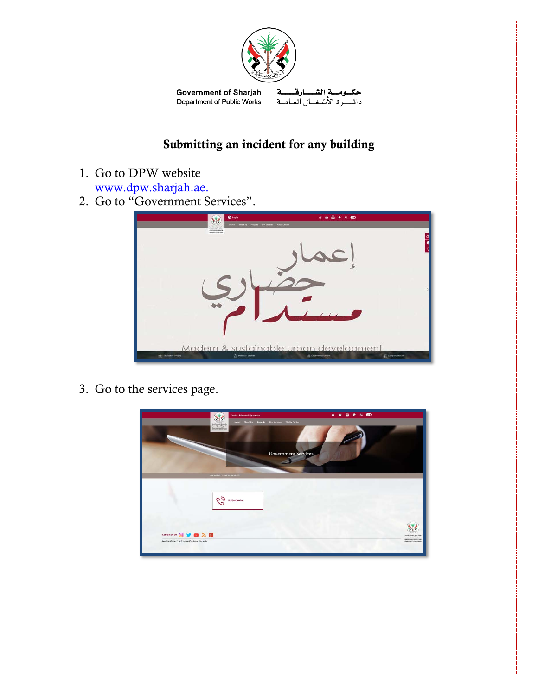

**Government of Sharjah** Department of Public Works

حكسومسة الش ـارقـ دائسرة الأشغبال العبامة

## Submitting an incident for any building

- 1. Go to DPW website [www.dpw.sharjah.ae.](http://www.dpw.sharjah.ae/)
- 2. Go to "Government Services".



3. Go to the services page.

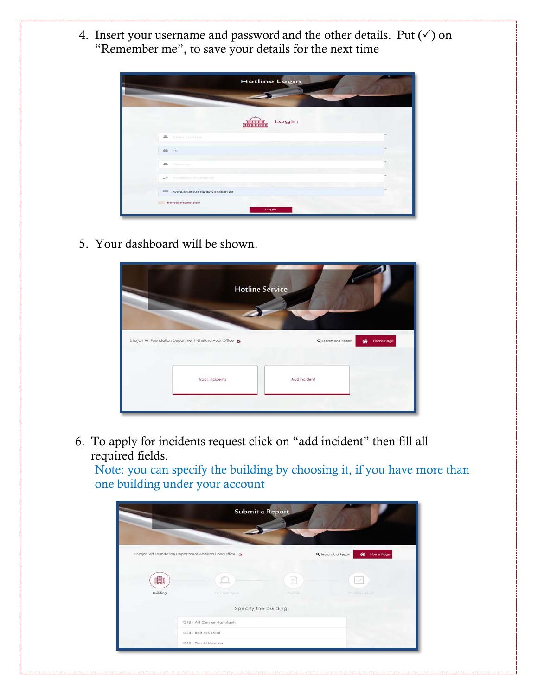4. Insert your username and password and the other details. Put  $(\checkmark)$  on "Remember me", to save your details for the next time



5. Your dashboard will be shown.

|                                                          | <b>Hotline Service</b> |                     |                       |
|----------------------------------------------------------|------------------------|---------------------|-----------------------|
| Sharjah Art Foundation Department -Sheikha Hoor Office B |                        | Q Search And Report | 省<br><b>Home Page</b> |
|                                                          | Track incidents        | Add incident        |                       |
|                                                          |                        |                     |                       |

6. To apply for incidents request click on "add incident" then fill all required fields.

Note: you can specify the building by choosing it, if you have more than one building under your account

|                                                           | <b>Submit a Report</b>     |              |                                              |
|-----------------------------------------------------------|----------------------------|--------------|----------------------------------------------|
| Sharjah Art Foundation Department -Sheikha Hoor Office B. |                            |              | Q Search And Report<br><b>Home Page</b><br>◈ |
| 唧<br>Building                                             | Indident Type:             | Ħ<br>Deltale | $\checkmark$<br>conten nusser                |
|                                                           | Specify the building.      |              |                                              |
|                                                           | 1378 - Art Center Hamrlayh |              |                                              |
|                                                           | 1384 - Bait Al Serkal      |              |                                              |
|                                                           | 1385 - Dar Al Nadwa        |              |                                              |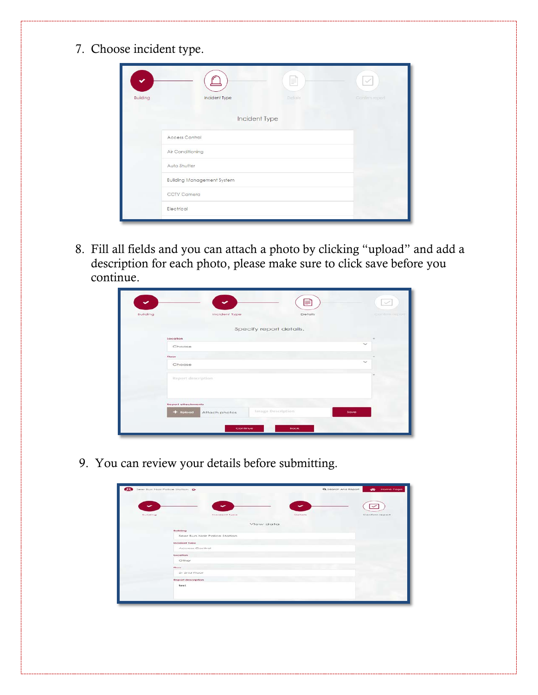7. Choose incident type.

| <b>Building</b> | Incident Type                     | F<br>Details | Confirm report |
|-----------------|-----------------------------------|--------------|----------------|
|                 | Incident Type                     |              |                |
|                 | Access Control                    |              |                |
|                 | Air Conditioning                  |              |                |
|                 | Auto Shutter                      |              |                |
|                 | <b>Building Management System</b> |              |                |
|                 | <b>CCTV Camera</b>                |              |                |
|                 | Electrical                        |              |                |

8. Fill all fields and you can attach a photo by clicking "upload" and add a description for each photo, please make sure to click save before you continue.

| Building |                             | Incident Type           | ⋿<br>Details      | $\checkmark$<br>Confirm region |
|----------|-----------------------------|-------------------------|-------------------|--------------------------------|
|          |                             |                         |                   |                                |
|          |                             | Specify report details. |                   |                                |
|          | tocation                    |                         |                   |                                |
|          | Choose                      |                         |                   | $\checkmark$                   |
|          | Floor.                      |                         |                   |                                |
|          | Choose                      |                         |                   | $\sim$                         |
|          | Report description          |                         |                   |                                |
|          | <b>Report attachments</b>   |                         |                   |                                |
|          | $+$ uptood<br>Attach photos |                         | Image Description | <b>Save</b>                    |
|          |                             | Continue                | <b>Back</b>       |                                |

9. You can review your details before submitting.

|          | Severe Brush Printer Photocae Strations Car |                                   |              | Q search And Report<br>Home Page |
|----------|---------------------------------------------|-----------------------------------|--------------|----------------------------------|
| ÷        |                                             |                                   | $\checkmark$ |                                  |
| Building |                                             | Indicient Type                    | Details      | <b>Continh report</b>            |
|          |                                             |                                   | Vlew data    |                                  |
|          | Building                                    |                                   |              |                                  |
|          |                                             | Select Burn Night Policie Station |              |                                  |
|          | Incident type                               |                                   |              |                                  |
|          | Access Control                              |                                   |              |                                  |
|          | Location                                    |                                   |              |                                  |
|          | Other                                       |                                   |              |                                  |
|          | <b>Thomas</b>                               |                                   |              |                                  |
|          | 2- 2nd Floor                                |                                   |              |                                  |
|          | Report description                          |                                   |              |                                  |
|          | test                                        |                                   |              |                                  |
|          |                                             |                                   |              |                                  |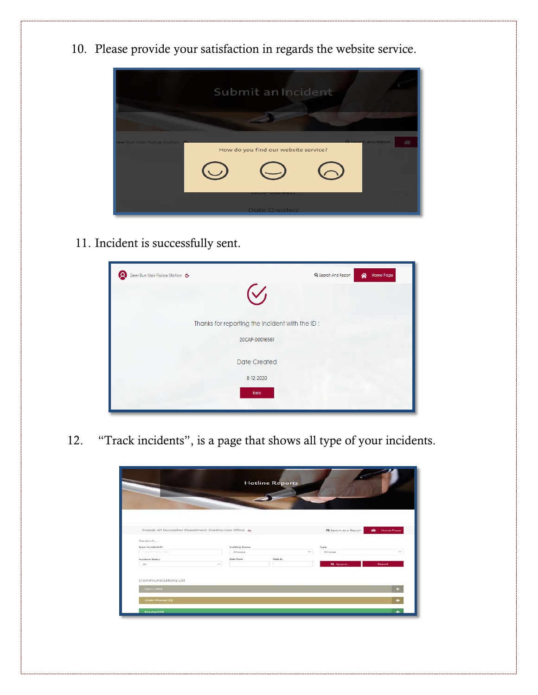10. Please provide your satisfaction in regards the website service.



11. Incident is successfully sent.

| Seer Bun Nair Police Station <b>G</b><br>וס    | Q Search And Report<br>Home Page<br>⋒ |
|------------------------------------------------|---------------------------------------|
| $\mathcal{C}$                                  |                                       |
| Thanks for reporting the incident with the ID: |                                       |
| 20CAP-00016561                                 |                                       |
| <b>Date Created</b>                            |                                       |
| 8-12-2020                                      |                                       |
| <b>Back</b>                                    |                                       |
|                                                |                                       |

12. "Track incidents", is a page that shows all type of your incidents.

|                                                        |                     | <b>Hotline Reports</b> |                  |                     |                       |
|--------------------------------------------------------|---------------------|------------------------|------------------|---------------------|-----------------------|
|                                                        |                     |                        |                  |                     |                       |
|                                                        |                     |                        |                  |                     |                       |
|                                                        |                     |                        |                  |                     |                       |
|                                                        |                     |                        |                  |                     |                       |
| Sharjah Art Foundation Department -Sheikha Hoor Office |                     |                        |                  | Q Search And Report | <b>Home Page</b><br>∙ |
| Search                                                 |                     |                        |                  |                     |                       |
| Type Incident ID.                                      | <b>Suiding Nome</b> |                        |                  | Type                |                       |
| Turnal Institutional (CL)                              | Choose              |                        | $\tau_{\rm eff}$ | Choose              | $\sim$                |
| Incident Status                                        | Data from           | Date to                |                  |                     |                       |
| All                                                    | $\sim$              |                        |                  | Q. Search           | Report                |
|                                                        |                     |                        |                  |                     |                       |
| Communications List                                    |                     |                        |                  |                     |                       |
| Open (389)                                             |                     |                        |                  |                     | 55                    |
|                                                        |                     |                        |                  |                     |                       |
| Linder Process (0)                                     |                     |                        |                  |                     |                       |
|                                                        |                     |                        |                  |                     |                       |
|                                                        |                     |                        |                  |                     |                       |